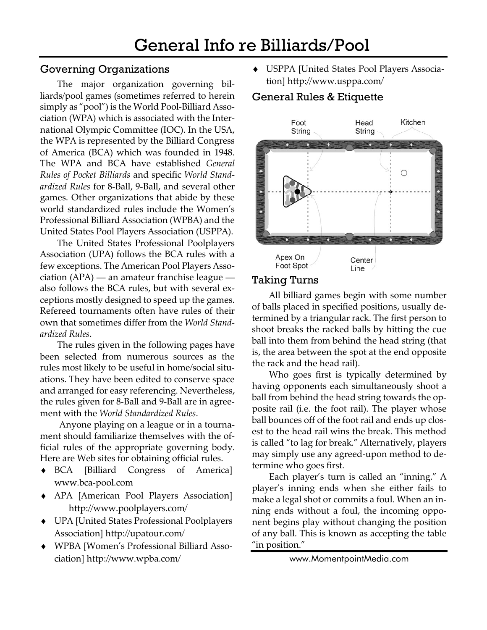## Governing Organizations

The major organization governing billiards/pool games (sometimes referred to herein simply as "pool") is the World Pool-Billiard Association (WPA) which is associated with the International Olympic Committee (IOC). In the USA, the WPA is represented by the Billiard Congress of America (BCA) which was founded in 1948. The WPA and BCA have established *General Rules of Pocket Billiards* and specific *World Standardized Rules* for 8-Ball, 9-Ball, and several other games. Other organizations that abide by these world standardized rules include the Women's Professional Billiard Association (WPBA) and the United States Pool Players Association (USPPA).

The United States Professional Poolplayers Association (UPA) follows the BCA rules with a few exceptions. The American Pool Players Association (APA) — an amateur franchise league also follows the BCA rules, but with several exceptions mostly designed to speed up the games. Refereed tournaments often have rules of their own that sometimes differ from the *World Standardized Rules*.

The rules given in the following pages have been selected from numerous sources as the rules most likely to be useful in home/social situations. They have been edited to conserve space and arranged for easy referencing. Nevertheless, the rules given for 8-Ball and 9-Ball are in agreement with the *World Standardized Rules*.

 Anyone playing on a league or in a tournament should familiarize themselves with the official rules of the appropriate governing body. Here are Web sites for obtaining official rules.

- ♦ BCA [Billiard Congress of America] www.bca-pool.com
- ♦ APA [American Pool Players Association] http://www.poolplayers.com/
- ♦ UPA [United States Professional Poolplayers Association] http://upatour.com/
- ♦ WPBA [Women's Professional Billiard Association] http://www.wpba.com/

♦ USPPA [United States Pool Players Association] http://www.usppa.com/

## General Rules & Etiquette



## Taking Turns

All billiard games begin with some number of balls placed in specified positions, usually determined by a triangular rack. The first person to shoot breaks the racked balls by hitting the cue ball into them from behind the head string (that is, the area between the spot at the end opposite the rack and the head rail).

Who goes first is typically determined by having opponents each simultaneously shoot a ball from behind the head string towards the opposite rail (i.e. the foot rail). The player whose ball bounces off of the foot rail and ends up closest to the head rail wins the break. This method is called "to lag for break." Alternatively, players may simply use any agreed-upon method to determine who goes first.

Each player's turn is called an "inning." A player's inning ends when she either fails to make a legal shot or commits a foul. When an inning ends without a foul, the incoming opponent begins play without changing the position of any ball. This is known as accepting the table "in position."

```
www.MomentpointMedia.com
```